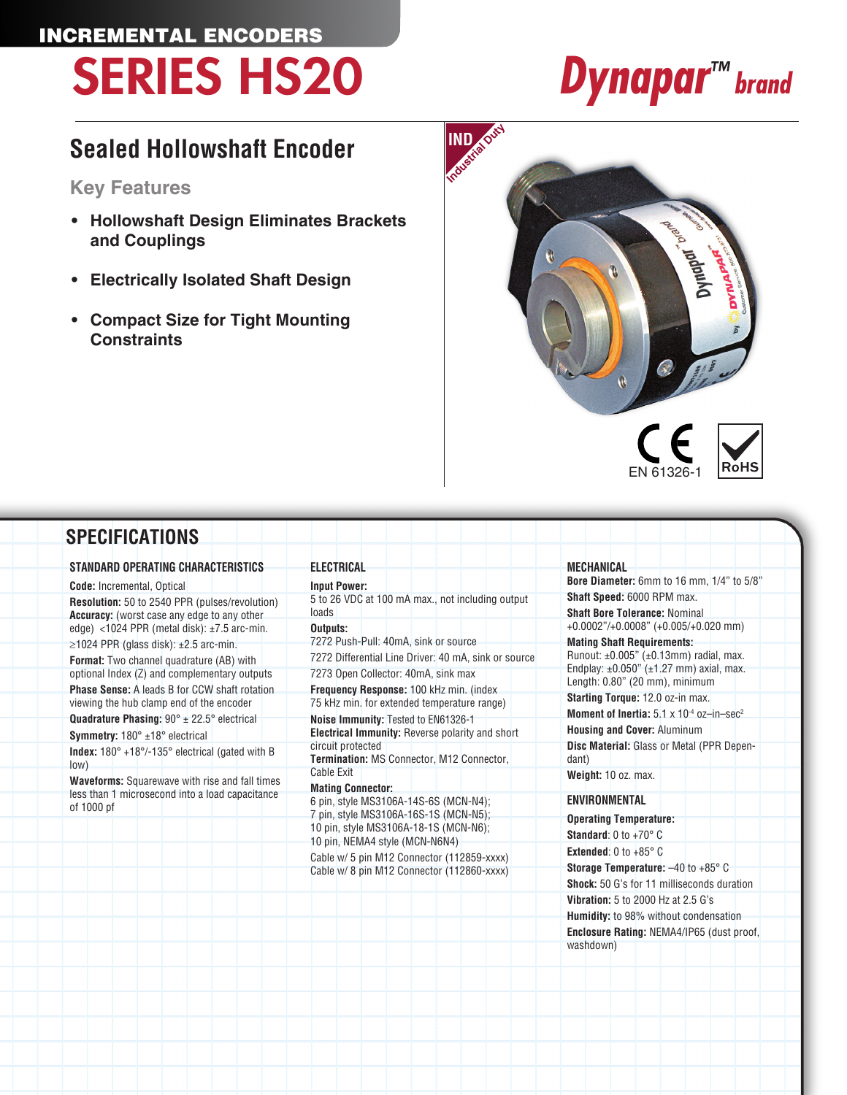### INCREMENTAL ENCODERS SERIES HS20 *Dynapar™ brand*

### **Sealed Hollowshaft Encoder**

**Key Features**

- **• Hollowshaft Design Eliminates Brackets and Couplings**
- **• Electrically Isolated Shaft Design**
- **• Compact Size for Tight Mounting Constraints**



### **SPECIFICATIONS**

#### **STANDARD OPERATING CHARACTERISTICS**

**Code:** Incremental, Optical **Resolution:** 50 to 2540 PPR (pulses/revolution) **Accuracy:** (worst case any edge to any other edge) <1024 PPR (metal disk): ±7.5 arc-min.

 $\geq$ 1024 PPR (glass disk): ±2.5 arc-min. **Format:** Two channel quadrature (AB) with optional Index (Z) and complementary outputs **Phase Sense:** A leads B for CCW shaft rotation viewing the hub clamp end of the encoder

**Quadrature Phasing:** 90° ± 22.5° electrical

**Symmetry:** 180° ±18° electrical

**Index:** 180° +18°/-135° electrical (gated with B low)

**Waveforms:** Squarewave with rise and fall times less than 1 microsecond into a load capacitance of 1000 pf

**Input Power:** 5 to 26 VDC at 100 mA max., not including output loads

#### **Outputs:**

**ELECTRICAL**

7272 Push-Pull: 40mA, sink or source 7272 Differential Line Driver: 40 mA, sink or source

7273 Open Collector: 40mA, sink max **Frequency Response:** 100 kHz min. (index

75 kHz min. for extended temperature range) **Noise Immunity:** Tested to EN61326-1

**Electrical Immunity:** Reverse polarity and short circuit protected

**Termination:** MS Connector, M12 Connector, Cable Exit

#### **Mating Connector:**

6 pin, style MS3106A-14S-6S (MCN-N4); 7 pin, style MS3106A-16S-1S (MCN-N5); 10 pin, style MS3106A-18-1S (MCN-N6); 10 pin, NEMA4 style (MCN-N6N4)

Cable w/ 5 pin M12 Connector (112859-xxxx) Cable w/ 8 pin M12 Connector (112860-xxxx)

#### **MECHANICAL**

**Bore Diameter:** 6mm to 16 mm, 1/4" to 5/8" **Shaft Speed:** 6000 RPM max.

**Shaft Bore Tolerance:** Nominal +0.0002"/+0.0008" (+0.005/+0.020 mm)

#### **Mating Shaft Requirements:**

Runout:  $\pm 0.005$ " ( $\pm 0.13$ mm) radial, max. Endplay: ±0.050" (±1.27 mm) axial, max. Length: 0.80" (20 mm), minimum

**Starting Torque:** 12.0 oz-in max.

**Moment of Inertia:**  $5.1 \times 10^{-4}$  oz-in-sec<sup>2</sup>

**Housing and Cover:** Aluminum **Disc Material:** Glass or Metal (PPR Dependant)

**Weight:** 10 oz. max.

#### **ENVIRONMENTAL**

**Operating Temperature: Standard**: 0 to +70° C **Extended:**  $0$  to  $+85^\circ$   $\text{C}$ **Storage Temperature:** –40 to +85° C **Shock:** 50 G's for 11 milliseconds duration **Vibration:** 5 to 2000 Hz at 2.5 G's **Humidity:** to 98% without condensation **Enclosure Rating:** NEMA4/IP65 (dust proof, washdown)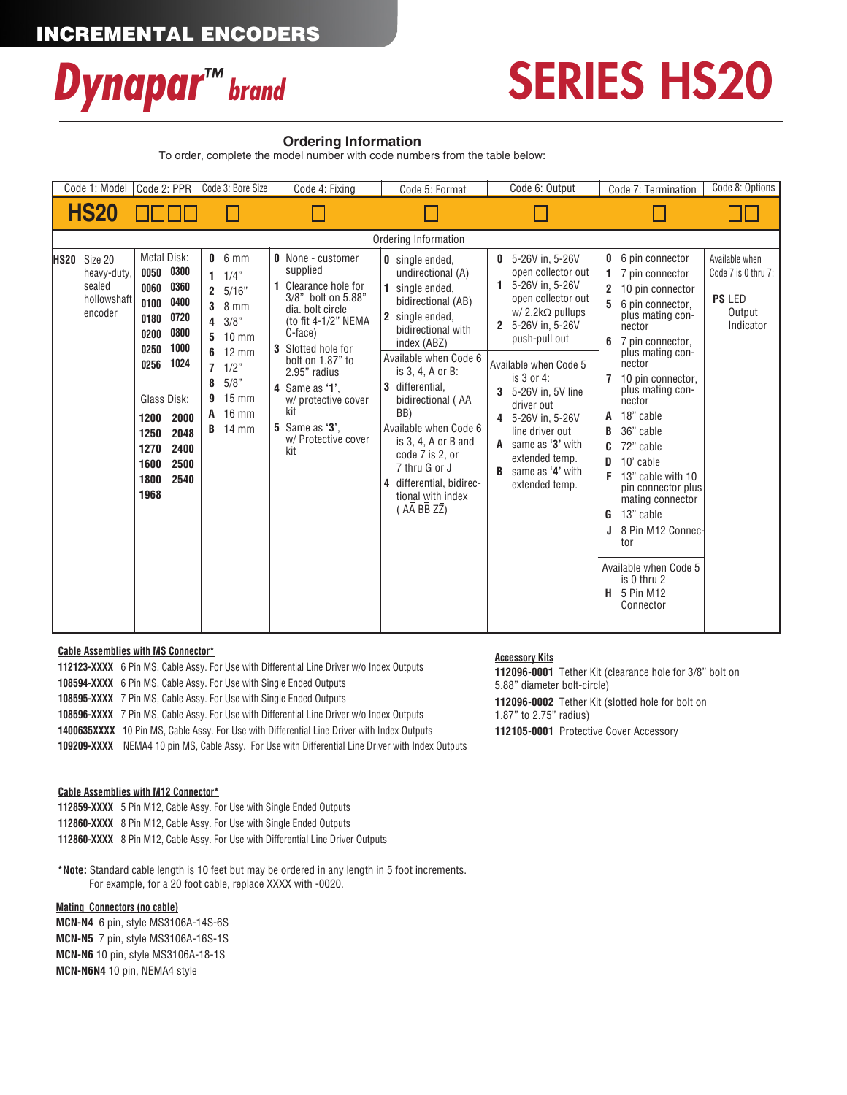

## SERIES HS20

#### **Ordering Information**

To order, complete the model number with code numbers from the table below:

| Code 1: Model<br>Code 2: PPR                                                                                                                                                                                                                                                                                    | Code 3: Bore Size                                                                                                                                                                                                        | Code 4: Fixing                                                                                                                                                                                                                                                                                            | Code 5: Format                                                                                                                                                                                                                                                                                                                                                                                                | Code 6: Output                                                                                                                                                                                                                                                                                                                                                | Code 7: Termination                                                                                                                                                                                                                                                                                                                                                                                                                                                                                                 | Code 8: Options                                                               |
|-----------------------------------------------------------------------------------------------------------------------------------------------------------------------------------------------------------------------------------------------------------------------------------------------------------------|--------------------------------------------------------------------------------------------------------------------------------------------------------------------------------------------------------------------------|-----------------------------------------------------------------------------------------------------------------------------------------------------------------------------------------------------------------------------------------------------------------------------------------------------------|---------------------------------------------------------------------------------------------------------------------------------------------------------------------------------------------------------------------------------------------------------------------------------------------------------------------------------------------------------------------------------------------------------------|---------------------------------------------------------------------------------------------------------------------------------------------------------------------------------------------------------------------------------------------------------------------------------------------------------------------------------------------------------------|---------------------------------------------------------------------------------------------------------------------------------------------------------------------------------------------------------------------------------------------------------------------------------------------------------------------------------------------------------------------------------------------------------------------------------------------------------------------------------------------------------------------|-------------------------------------------------------------------------------|
| <b>HS20</b>                                                                                                                                                                                                                                                                                                     |                                                                                                                                                                                                                          |                                                                                                                                                                                                                                                                                                           |                                                                                                                                                                                                                                                                                                                                                                                                               |                                                                                                                                                                                                                                                                                                                                                               |                                                                                                                                                                                                                                                                                                                                                                                                                                                                                                                     |                                                                               |
|                                                                                                                                                                                                                                                                                                                 |                                                                                                                                                                                                                          |                                                                                                                                                                                                                                                                                                           | Ordering Information                                                                                                                                                                                                                                                                                                                                                                                          |                                                                                                                                                                                                                                                                                                                                                               |                                                                                                                                                                                                                                                                                                                                                                                                                                                                                                                     |                                                                               |
| <b>Metal Disk:</b><br>Size 20<br>HS20<br>0300<br>0050<br>heavy-duty,<br>sealed<br>0360<br>0060<br>hollowshaft<br>0400<br>0100<br>encoder<br>0720<br>0180<br>0800<br>0200<br>1000<br>0250<br>1024<br>0256<br>Glass Disk:<br>2000<br>1200<br>2048<br>1250<br>2400<br>1270<br>2500<br>1600<br>1800<br>2540<br>1968 | $0.6$ mm<br>$1 \t1/4$ "<br>2 5/16"<br>$8 \text{ mm}$<br>3<br>3/8"<br>4<br>$10 \text{ mm}$<br>5<br>$12 \text{ mm}$<br>6<br>$7 \frac{1}{2}$<br>5/8"<br>8<br>$15 \text{ mm}$<br>g<br>$16 \text{ mm}$<br>A<br><b>B</b> 14 mm | <b>0</b> None - customer<br>supplied<br>1 Clearance hole for<br>3/8" bolt on 5.88"<br>dia, bolt circle<br>(to fit 4-1/2" NEMA<br>C-face)<br>3 Slotted hole for<br>bolt on 1.87" to<br>2.95" radius<br>4 Same as '1'.<br>w/ protective cover<br>kit<br><b>5</b> Same as '3'.<br>w/ Protective cover<br>kit | <b>0</b> single ended,<br>undirectional (A)<br>single ended,<br>bidirectional (AB)<br>2 single ended,<br>bidirectional with<br>index (ABZ)<br>Available when Code 6<br>is 3, 4, A or B:<br>differential.<br>bidirectional (AA<br>$\overline{BB}$<br>Available when Code 6<br>is $3, 4$ , $A$ or $B$ and<br>code 7 is 2, or<br>7 thru G or J<br>differential, bidirec-<br>4<br>tional with index<br>(AA BB ZZ) | $0.5 - 26V$ in, 5-26V<br>open collector out<br>1 5-26V in, 5-26V<br>open collector out<br>$W/2.2k\Omega$ pullups<br>2 5-26V in, 5-26V<br>push-pull out<br>Available when Code 5<br>is 3 or 4:<br>3 5-26V in, 5V line<br>driver out<br>4 5-26V in, 5-26V<br>line driver out<br>A same as '3' with<br>extended temp.<br>B<br>same as '4' with<br>extended temp. | 6 pin connector<br>0<br>7 pin connector<br>1<br>2<br>10 pin connector<br>5<br>6 pin connector.<br>plus mating con-<br>nector<br>7 pin connector,<br>6<br>plus mating con-<br>nector<br>10 pin connector,<br>$\mathbf{7}$<br>plus mating con-<br>nector<br>18" cable<br>A<br>36" cable<br>B<br>72" cable<br>10' cable<br>D<br>F<br>13" cable with 10<br>pin connector plus<br>mating connector<br>13" cable<br>G<br>8 Pin M12 Connec-<br>tor<br>Available when Code 5<br>is 0 thru 2<br>5 Pin M12<br>Н.<br>Connector | Available when<br>Code 7 is 0 thru 7:<br><b>PS LED</b><br>Output<br>Indicator |

#### **Cable Assemblies with MS Connector\***

**112123-XXXX** 6 Pin MS, Cable Assy. For Use with Differential Line Driver w/o Index Outputs **108594-XXXX** 6 Pin MS, Cable Assy. For Use with Single Ended Outputs **108595-XXXX** 7 Pin MS, Cable Assy. For Use with Single Ended Outputs **108596-XXXX** 7 Pin MS, Cable Assy. For Use with Differential Line Driver w/o Index Outputs **1400635XXXX** 10 Pin MS, Cable Assy. For Use with Differential Line Driver with Index Outputs

 **109209-XXXX** NEMA4 10 pin MS, Cable Assy. For Use with Differential Line Driver with Index Outputs

#### **Cable Assemblies with M12 Connector\***

**112859-XXXX** 5 Pin M12, Cable Assy. For Use with Single Ended Outputs

**112860-XXXX** 8 Pin M12, Cable Assy. For Use with Single Ended Outputs

**112860-XXXX** 8 Pin M12, Cable Assy. For Use with Differential Line Driver Outputs

 **\*Note:** Standard cable length is 10 feet but may be ordered in any length in 5 foot increments. For example, for a 20 foot cable, replace XXXX with -0020.

#### **Mating Connectors (no cable)**

**MCN-N4** 6 pin, style MS3106A-14S-6S **MCN-N5** 7 pin, style MS3106A-16S-1S **MCN-N6** 10 pin, style MS3106A-18-1S **MCN-N6N4** 10 pin, NEMA4 style

#### **Accessory Kits**

**112096-0001** Tether Kit (clearance hole for 3/8" bolt on 5.88" diameter bolt-circle)

**112096-0002** Tether Kit (slotted hole for bolt on 1.87" to 2.75" radius)

**112105-0001** Protective Cover Accessory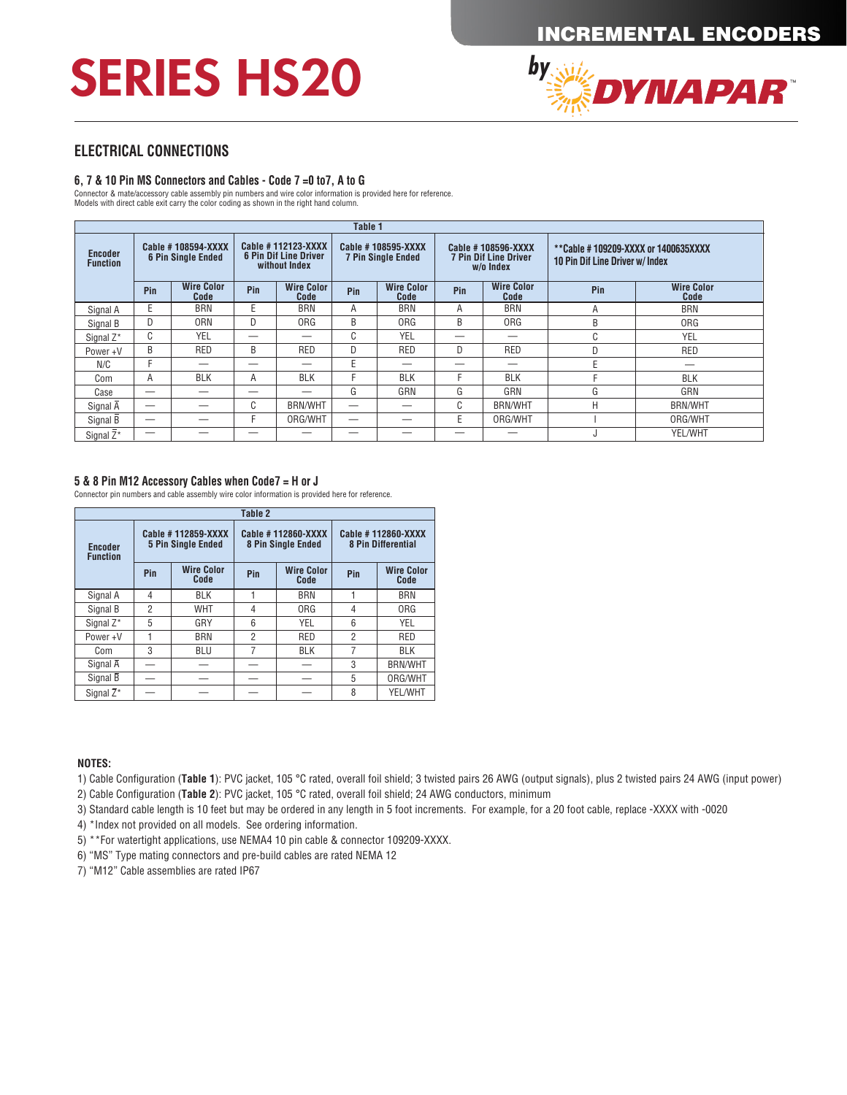# SERIES HS20



#### **ELECTRICAL CONNECTIONS**

#### **6, 7 & 10 Pin MS Connectors and Cables - Code 7 =0 to7, A to G**

Connector & mate/accessory cable assembly pin numbers and wire color information is provided here for reference.

Models with direct cable exit carry the color coding as shown in the right hand column.

| Table 1                                                                              |     |                                                                      |                          |                                                 |     |                                                                 |     |                                                                               |     |                           |
|--------------------------------------------------------------------------------------|-----|----------------------------------------------------------------------|--------------------------|-------------------------------------------------|-----|-----------------------------------------------------------------|-----|-------------------------------------------------------------------------------|-----|---------------------------|
| Cable #108594-XXXX<br><b>Encoder</b><br><b>6 Pin Single Ended</b><br><b>Function</b> |     | Cable # 112123-XXXX<br><b>6 Pin Dif Line Driver</b><br>without Index |                          | Cable #108595-XXXX<br><b>7 Pin Single Ended</b> |     | Cable #108596-XXXX<br><b>7 Pin Dif Line Driver</b><br>w/o Index |     | **Cable #109209-XXXX or 1400635XXXX<br><b>10 Pin Dif Line Driver w/ Index</b> |     |                           |
|                                                                                      | Pin | <b>Wire Color</b><br>Code                                            | Pin                      | <b>Wire Color</b><br>Code                       | Pin | <b>Wire Color</b><br>Code                                       | Pin | <b>Wire Color</b><br>Code                                                     | Pin | <b>Wire Color</b><br>Code |
| Signal A                                                                             | E   | <b>BRN</b>                                                           | Е                        | <b>BRN</b>                                      | A   | <b>BRN</b>                                                      | A   | <b>BRN</b>                                                                    | Α   | <b>BRN</b>                |
| Signal B                                                                             | D   | 0 <sub>RN</sub>                                                      | D                        | ORG                                             | B   | 0 <sub>RG</sub>                                                 | B   | <b>ORG</b>                                                                    | B   | 0 <sub>RG</sub>           |
| Signal Z*                                                                            | C   | <b>YEL</b>                                                           |                          |                                                 | C   | <b>YEL</b>                                                      | _   | _                                                                             | C   | YEL                       |
| Power+V                                                                              | B   | RED                                                                  | B                        | <b>RED</b>                                      | D   | RED                                                             | D   | <b>RED</b>                                                                    | D   | RED                       |
| N/C                                                                                  | F   |                                                                      |                          |                                                 | E   |                                                                 |     |                                                                               | E   |                           |
| Com                                                                                  | Α   | <b>BLK</b>                                                           | Α                        | <b>BLK</b>                                      | F   | <b>BLK</b>                                                      |     | <b>BLK</b>                                                                    |     | <b>BLK</b>                |
| Case                                                                                 | _   |                                                                      | $\overline{\phantom{a}}$ |                                                 | G   | GRN                                                             | G   | GRN                                                                           | G   | GRN                       |
| Signal A                                                                             | _   |                                                                      | C                        | <b>BRN/WHT</b>                                  | –   |                                                                 | C   | <b>BRN/WHT</b>                                                                | Н   | <b>BRN/WHT</b>            |
| Signal B                                                                             |     |                                                                      | F                        | ORG/WHT                                         | —   | —                                                               | E   | ORG/WHT                                                                       |     | ORG/WHT                   |
| Signal Z*                                                                            |     |                                                                      |                          |                                                 | _   |                                                                 |     |                                                                               | u   | YEL/WHT                   |

#### **5 & 8 Pin M12 Accessory Cables when Code7 = H or J**

Connector pin numbers and cable assembly wire color information is provided here for reference.

| Table 2                           |                |                                                 |                |                                          |                                                 |                           |  |  |
|-----------------------------------|----------------|-------------------------------------------------|----------------|------------------------------------------|-------------------------------------------------|---------------------------|--|--|
| <b>Encoder</b><br><b>Function</b> |                | Cable #112859-XXXX<br><b>5 Pin Single Ended</b> |                | Cable #112860-XXXX<br>8 Pin Single Ended | Cable #112860-XXXX<br><b>8 Pin Differential</b> |                           |  |  |
|                                   | Pin            | <b>Wire Color</b><br>Code                       | Pin            | <b>Wire Color</b><br>Code                | Pin                                             | <b>Wire Color</b><br>Code |  |  |
| Signal A                          | 4              | <b>BLK</b>                                      |                | <b>BRN</b>                               |                                                 | <b>BRN</b>                |  |  |
| Signal B                          | $\overline{2}$ | <b>WHT</b>                                      | 4              | ORG                                      | 4                                               | 0 <sub>RG</sub>           |  |  |
| Signal Z*                         | 5              | GRY                                             | 6              | YEL                                      | 6                                               | YEL                       |  |  |
| Power+V                           |                | <b>BRN</b>                                      | $\overline{2}$ | RED                                      | $\overline{2}$                                  | RED                       |  |  |
| Com                               | 3              | <b>BLU</b>                                      | 7              | <b>BLK</b>                               | 7                                               | <b>BLK</b>                |  |  |
| Signal $\overline{A}$             |                |                                                 |                |                                          | 3                                               | <b>BRN/WHT</b>            |  |  |
| Signal B                          |                |                                                 |                |                                          | 5                                               | ORG/WHT                   |  |  |
| Signal $\overline{Z}^*$           |                |                                                 |                |                                          | 8                                               | YEL/WHT                   |  |  |

#### **NOTES:**

1) Cable Configuration (**Table 1**): PVC jacket, 105 °C rated, overall foil shield; 3 twisted pairs 26 AWG (output signals), plus 2 twisted pairs 24 AWG (input power)

2) Cable Configuration (**Table 2**): PVC jacket, 105 °C rated, overall foil shield; 24 AWG conductors, minimum

- 3) Standard cable length is 10 feet but may be ordered in any length in 5 foot increments. For example, for a 20 foot cable, replace -XXXX with -0020
- 4) \*Index not provided on all models. See ordering information.
- 5) \*\*For watertight applications, use NEMA4 10 pin cable & connector 109209-XXXX.
- 6) "MS" Type mating connectors and pre-build cables are rated NEMA 12
- 7) "M12" Cable assemblies are rated IP67